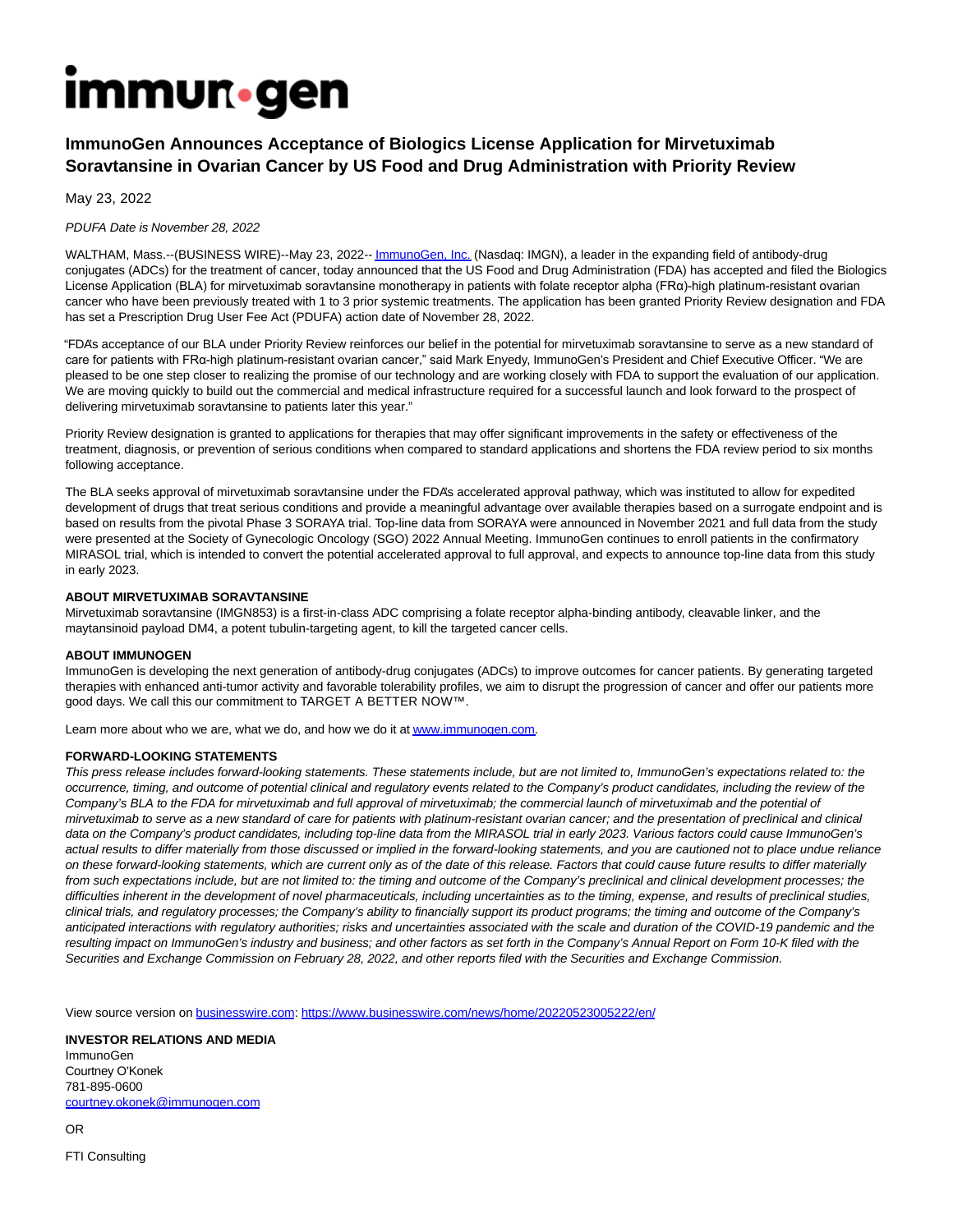# **Immun**.gen

# **ImmunoGen Announces Acceptance of Biologics License Application for Mirvetuximab Soravtansine in Ovarian Cancer by US Food and Drug Administration with Priority Review**

May 23, 2022

# PDUFA Date is November 28, 2022

WALTHAM, Mass.--(BUSINESS WIRE)--May 23, 2022-[- ImmunoGen, Inc. \(](https://cts.businesswire.com/ct/CT?id=smartlink&url=http%3A%2F%2Fwww.immunogen.com&esheet=52726295&newsitemid=20220523005222&lan=en-US&anchor=ImmunoGen%2C+Inc.&index=1&md5=0e34396e0f60140e75394108aa49aa91)Nasdaq: IMGN), a leader in the expanding field of antibody-drug conjugates (ADCs) for the treatment of cancer, today announced that the US Food and Drug Administration (FDA) has accepted and filed the Biologics License Application (BLA) for mirvetuximab soravtansine monotherapy in patients with folate receptor alpha (FRα)-high platinum-resistant ovarian cancer who have been previously treated with 1 to 3 prior systemic treatments. The application has been granted Priority Review designation and FDA has set a Prescription Drug User Fee Act (PDUFA) action date of November 28, 2022.

"FDA's acceptance of our BLA under Priority Review reinforces our belief in the potential for mirvetuximab soravtansine to serve as a new standard of care for patients with FRα-high platinum-resistant ovarian cancer," said Mark Enyedy, ImmunoGen's President and Chief Executive Officer. "We are pleased to be one step closer to realizing the promise of our technology and are working closely with FDA to support the evaluation of our application. We are moving quickly to build out the commercial and medical infrastructure required for a successful launch and look forward to the prospect of delivering mirvetuximab soravtansine to patients later this year."

Priority Review designation is granted to applications for therapies that may offer significant improvements in the safety or effectiveness of the treatment, diagnosis, or prevention of serious conditions when compared to standard applications and shortens the FDA review period to six months following acceptance.

The BLA seeks approval of mirvetuximab soravtansine under the FDA's accelerated approval pathway, which was instituted to allow for expedited development of drugs that treat serious conditions and provide a meaningful advantage over available therapies based on a surrogate endpoint and is based on results from the pivotal Phase 3 SORAYA trial. Top-line data from SORAYA were announced in November 2021 and full data from the study were presented at the Society of Gynecologic Oncology (SGO) 2022 Annual Meeting. ImmunoGen continues to enroll patients in the confirmatory MIRASOL trial, which is intended to convert the potential accelerated approval to full approval, and expects to announce top-line data from this study in early 2023.

# **ABOUT MIRVETUXIMAB SORAVTANSINE**

Mirvetuximab soravtansine (IMGN853) is a first-in-class ADC comprising a folate receptor alpha-binding antibody, cleavable linker, and the maytansinoid payload DM4, a potent tubulin-targeting agent, to kill the targeted cancer cells.

### **ABOUT IMMUNOGEN**

ImmunoGen is developing the next generation of antibody-drug conjugates (ADCs) to improve outcomes for cancer patients. By generating targeted therapies with enhanced anti-tumor activity and favorable tolerability profiles, we aim to disrupt the progression of cancer and offer our patients more good days. We call this our commitment to TARGET A BETTER NOW™.

Learn more about who we are, what we do, and how we do it a[t www.immunogen.com.](https://cts.businesswire.com/ct/CT?id=smartlink&url=http%3A%2F%2Fwww.immunogen.com&esheet=52726295&newsitemid=20220523005222&lan=en-US&anchor=www.immunogen.com&index=2&md5=af1412308eb05e4ae579f299b6e54fec)

### **FORWARD-LOOKING STATEMENTS**

This press release includes forward-looking statements. These statements include, but are not limited to, ImmunoGen's expectations related to: the occurrence, timing, and outcome of potential clinical and regulatory events related to the Company's product candidates, including the review of the Company's BLA to the FDA for mirvetuximab and full approval of mirvetuximab; the commercial launch of mirvetuximab and the potential of mirvetuximab to serve as a new standard of care for patients with platinum-resistant ovarian cancer; and the presentation of preclinical and clinical data on the Company's product candidates, including top-line data from the MIRASOL trial in early 2023. Various factors could cause ImmunoGen's actual results to differ materially from those discussed or implied in the forward-looking statements, and you are cautioned not to place undue reliance on these forward-looking statements, which are current only as of the date of this release. Factors that could cause future results to differ materially from such expectations include, but are not limited to: the timing and outcome of the Company's preclinical and clinical development processes; the difficulties inherent in the development of novel pharmaceuticals, including uncertainties as to the timing, expense, and results of preclinical studies, clinical trials, and regulatory processes; the Company's ability to financially support its product programs; the timing and outcome of the Company's anticipated interactions with regulatory authorities; risks and uncertainties associated with the scale and duration of the COVID-19 pandemic and the resulting impact on ImmunoGen's industry and business; and other factors as set forth in the Company's Annual Report on Form 10-K filed with the Securities and Exchange Commission on February 28, 2022, and other reports filed with the Securities and Exchange Commission.

View source version on [businesswire.com:](http://businesswire.com/)<https://www.businesswire.com/news/home/20220523005222/en/>

### **INVESTOR RELATIONS AND MEDIA**

ImmunoGen Courtney O'Konek 781-895-0600 [courtney.okonek@immunogen.com](mailto:courtney.okonek@immunogen.com)

OR

FTI Consulting